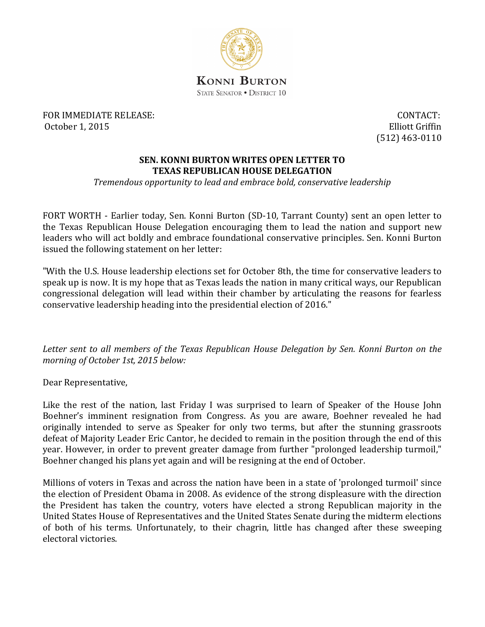

FOR IMMEDIATE RELEASE: October 1, 2015

CONTACT: **Elliott Griffin**  $(512)$  463-0110

## **SEN. KONNI BURTON WRITES OPEN LETTER TO TEXAS REPUBLICAN HOUSE DELEGATION**

Tremendous opportunity to lead and embrace bold, conservative leadership

FORT WORTH - Earlier today, Sen. Konni Burton (SD-10, Tarrant County) sent an open letter to the Texas Republican House Delegation encouraging them to lead the nation and support new leaders who will act boldly and embrace foundational conservative principles. Sen. Konni Burton issued the following statement on her letter:

"With the U.S. House leadership elections set for October 8th, the time for conservative leaders to speak up is now. It is my hope that as Texas leads the nation in many critical ways, our Republican congressional delegation will lead within their chamber by articulating the reasons for fearless conservative leadership heading into the presidential election of 2016."

Letter sent to all members of the Texas Republican House Delegation by Sen. Konni Burton on the morning of October 1st, 2015 below:

Dear Representative,

Like the rest of the nation, last Friday I was surprised to learn of Speaker of the House John Boehner's imminent resignation from Congress. As you are aware, Boehner revealed he had originally intended to serve as Speaker for only two terms, but after the stunning grassroots defeat of Majority Leader Eric Cantor, he decided to remain in the position through the end of this vear. However, in order to prevent greater damage from further "prolonged leadership turmoil," Boehner changed his plans yet again and will be resigning at the end of October.

Millions of voters in Texas and across the nation have been in a state of 'prolonged turmoil' since the election of President Obama in 2008. As evidence of the strong displeasure with the direction the President has taken the country, voters have elected a strong Republican majority in the United States House of Representatives and the United States Senate during the midterm elections of both of his terms. Unfortunately, to their chagrin, little has changed after these sweeping electoral victories.